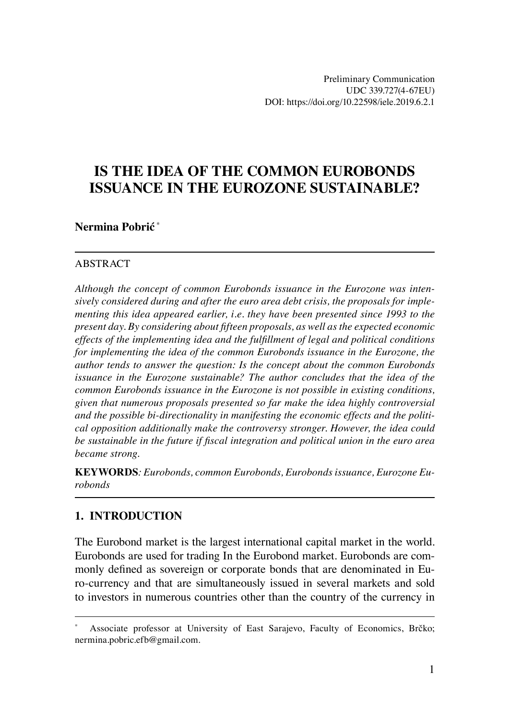# **IS THE IDEA OF THE COMMON EUROBONDS ISSUANCE IN THE EUROZONE SUSTAINABLE?**

#### **Nermina Pobrić** \*

#### ABSTRACT

*Although the concept of common Eurobonds issuance in the Eurozone was intensively considered during and after the euro area debt crisis, the proposals for implementing this idea appeared earlier, i.e. they have been presented since 1993 to the present day. By considering about fifteen proposals, as well as the expected economic effects of the implementing idea and the fulfillment of legal and political conditions*  for implementing the idea of the common Eurobonds issuance in the Eurozone, the *author tends to answer the question: Is the concept about the common Eurobonds issuance in the Eurozone sustainable? The author concludes that the idea of the common Eurobonds issuance in the Eurozone is not possible in existing conditions, given that numerous proposals presented so far make the idea highly controversial and the possible bi-directionality in manifesting the economic effects and the political opposition additionally make the controversy stronger. However, the idea could be sustainable in the future if fiscal integration and political union in the euro area became strong.*

**KEYWORDS***: Eurobonds, common Eurobonds, Eurobonds issuance, Eurozone Eurobonds*

#### **1. INTRODUCTION**

The Eurobond market is the largest international capital market in the world. Eurobonds are used for trading In the Eurobond market. Eurobonds are commonly defined as sovereign or corporate bonds that are denominated in Euro-currency and that are simultaneously issued in several markets and sold to investors in numerous countries other than the country of the currency in

Associate professor at University of East Sarajevo, Faculty of Economics, Brčko; nermina.pobric.efb@gmail.com.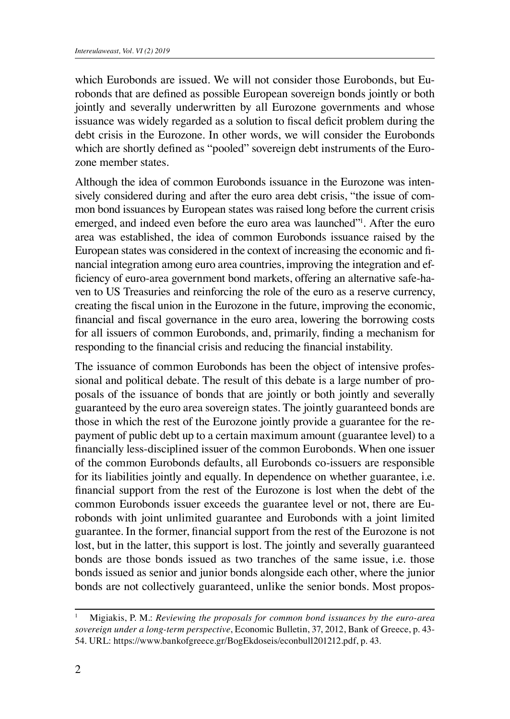which Eurobonds are issued. We will not consider those Eurobonds, but Eurobonds that are defined as possible European sovereign bonds jointly or both jointly and severally underwritten by all Eurozone governments and whose issuance was widely regarded as a solution to fiscal deficit problem during the debt crisis in the Eurozone. In other words, we will consider the Eurobonds which are shortly defined as "pooled" sovereign debt instruments of the Eurozone member states.

Although the idea of common Eurobonds issuance in the Eurozone was intensively considered during and after the euro area debt crisis, "the issue of common bond issuances by European states was raised long before the current crisis emerged, and indeed even before the euro area was launched"<sup>1</sup>. After the euro area was established, the idea of common Eurobonds issuance raised by the European states was considered in the context of increasing the economic and financial integration among euro area countries, improving the integration and efficiency of euro-area government bond markets, offering an alternative safe-haven to US Treasuries and reinforcing the role of the euro as a reserve currency, creating the fiscal union in the Eurozone in the future, improving the economic, financial and fiscal governance in the euro area, lowering the borrowing costs for all issuers of common Eurobonds, and, primarily, finding a mechanism for responding to the financial crisis and reducing the financial instability.

The issuance of common Eurobonds has been the object of intensive professional and political debate. The result of this debate is a large number of proposals of the issuance of bonds that are jointly or both jointly and severally guaranteed by the euro area sovereign states. The jointly guaranteed bonds are those in which the rest of the Eurozone jointly provide a guarantee for the repayment of public debt up to a certain maximum amount (guarantee level) to a financially less-disciplined issuer of the common Eurobonds. When one issuer of the common Eurobonds defaults, all Eurobonds co-issuers are responsible for its liabilities jointly and equally. In dependence on whether guarantee, i.e. financial support from the rest of the Eurozone is lost when the debt of the common Eurobonds issuer exceeds the guarantee level or not, there are Eurobonds with joint unlimited guarantee and Eurobonds with a joint limited guarantee. In the former, financial support from the rest of the Eurozone is not lost, but in the latter, this support is lost. The jointly and severally guaranteed bonds are those bonds issued as two tranches of the same issue, i.e. those bonds issued as senior and junior bonds alongside each other, where the junior bonds are not collectively guaranteed, unlike the senior bonds. Most propos-

<sup>1</sup> Migiakis, P. M.: *Reviewing the proposals for common bond issuances by the euro-area sovereign under a long-term perspective*, Economic Bulletin, 37, 2012, Bank of Greece, p. 43- 54. URL: https://www.bankofgreece.gr/BogEkdoseis/econbull201212.pdf, p. 43.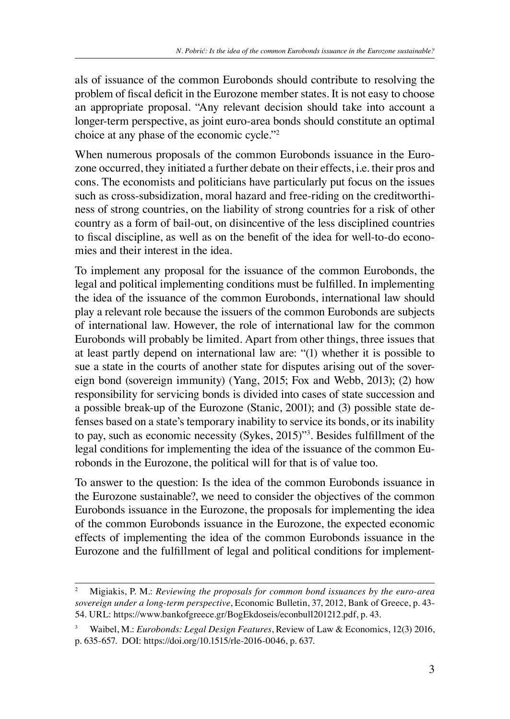als of issuance of the common Eurobonds should contribute to resolving the problem of fiscal deficit in the Eurozone member states. It is not easy to choose an appropriate proposal. "Any relevant decision should take into account a longer-term perspective, as joint euro-area bonds should constitute an optimal choice at any phase of the economic cycle."<sup>2</sup>

When numerous proposals of the common Eurobonds issuance in the Eurozone occurred, they initiated a further debate on their effects, i.e. their pros and cons. The economists and politicians have particularly put focus on the issues such as cross-subsidization, moral hazard and free-riding on the creditworthiness of strong countries, on the liability of strong countries for a risk of other country as a form of bail-out, on disincentive of the less disciplined countries to fiscal discipline, as well as on the benefit of the idea for well-to-do economies and their interest in the idea.

To implement any proposal for the issuance of the common Eurobonds, the legal and political implementing conditions must be fulfilled. In implementing the idea of the issuance of the common Eurobonds, international law should play a relevant role because the issuers of the common Eurobonds are subjects of international law. However, the role of international law for the common Eurobonds will probably be limited. Apart from other things, three issues that at least partly depend on international law are: "(1) whether it is possible to sue a state in the courts of another state for disputes arising out of the sovereign bond (sovereign immunity) (Yang, 2015; Fox and Webb, 2013); (2) how responsibility for servicing bonds is divided into cases of state succession and a possible break-up of the Eurozone (Stanic, 2001); and (3) possible state defenses based on a state's temporary inability to service its bonds, or its inability to pay, such as economic necessity (Sykes, 2015)"<sup>3</sup> . Besides fulfillment of the legal conditions for implementing the idea of the issuance of the common Eurobonds in the Eurozone, the political will for that is of value too.

To answer to the question: Is the idea of the common Eurobonds issuance in the Eurozone sustainable?, we need to consider the objectives of the common Eurobonds issuance in the Eurozone, the proposals for implementing the idea of the common Eurobonds issuance in the Eurozone, the expected economic effects of implementing the idea of the common Eurobonds issuance in the Eurozone and the fulfillment of legal and political conditions for implement-

<sup>2</sup> Migiakis, P. M.: *Reviewing the proposals for common bond issuances by the euro-area sovereign under a long-term perspective*, Economic Bulletin, 37, 2012, Bank of Greece, p. 43- 54. URL: https://www.bankofgreece.gr/BogEkdoseis/econbull201212.pdf, p. 43.

<sup>3</sup> Waibel, M.: *Eurobonds: Legal Design Features*, Review of Law & Economics, 12(3) 2016, p. 635-657. DOI: https://doi.org/10.1515/rle-2016-0046, p. 637.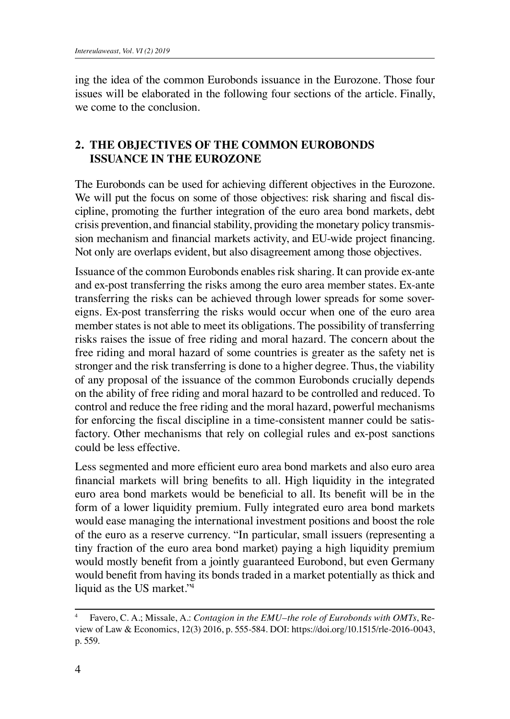ing the idea of the common Eurobonds issuance in the Eurozone. Those four issues will be elaborated in the following four sections of the article. Finally, we come to the conclusion.

### **2. THE OBJECTIVES OF THE COMMON EUROBONDS ISSUANCE IN THE EUROZONE**

The Eurobonds can be used for achieving different objectives in the Eurozone. We will put the focus on some of those objectives: risk sharing and fiscal discipline, promoting the further integration of the euro area bond markets, debt crisis prevention, and financial stability, providing the monetary policy transmission mechanism and financial markets activity, and EU-wide project financing. Not only are overlaps evident, but also disagreement among those objectives.

Issuance of the common Eurobonds enables risk sharing. It can provide ex-ante and ex-post transferring the risks among the euro area member states. Ex-ante transferring the risks can be achieved through lower spreads for some sovereigns. Ex-post transferring the risks would occur when one of the euro area member states is not able to meet its obligations. The possibility of transferring risks raises the issue of free riding and moral hazard. The concern about the free riding and moral hazard of some countries is greater as the safety net is stronger and the risk transferring is done to a higher degree. Thus, the viability of any proposal of the issuance of the common Eurobonds crucially depends on the ability of free riding and moral hazard to be controlled and reduced. To control and reduce the free riding and the moral hazard, powerful mechanisms for enforcing the fiscal discipline in a time-consistent manner could be satisfactory. Other mechanisms that rely on collegial rules and ex-post sanctions could be less effective.

Less segmented and more efficient euro area bond markets and also euro area financial markets will bring benefits to all. High liquidity in the integrated euro area bond markets would be beneficial to all. Its benefit will be in the form of a lower liquidity premium. Fully integrated euro area bond markets would ease managing the international investment positions and boost the role of the euro as a reserve currency. "In particular, small issuers (representing a tiny fraction of the euro area bond market) paying a high liquidity premium would mostly benefit from a jointly guaranteed Eurobond, but even Germany would benefit from having its bonds traded in a market potentially as thick and liquid as the US market."<sup>4</sup>

<sup>4</sup> Favero, C. A.; Missale, A.: *Contagion in the EMU–the role of Eurobonds with OMTs*, Review of Law & Economics, 12(3) 2016, p. 555-584. DOI: https://doi.org/10.1515/rle-2016-0043, p. 559.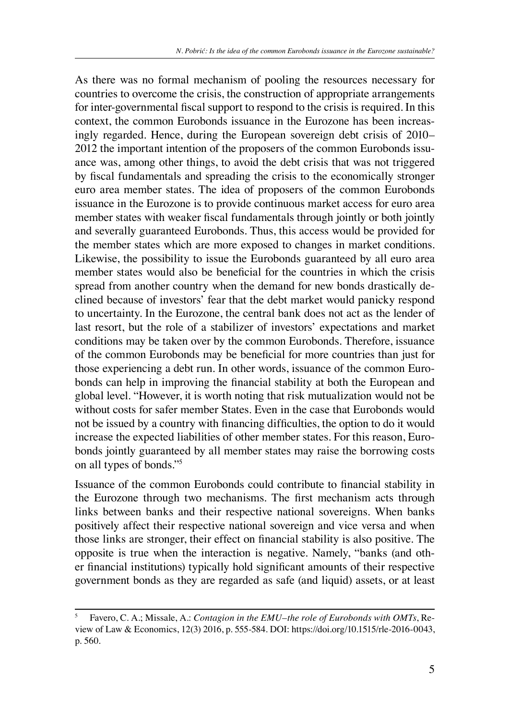As there was no formal mechanism of pooling the resources necessary for countries to overcome the crisis, the construction of appropriate arrangements for inter-governmental fiscal support to respond to the crisis is required. In this context, the common Eurobonds issuance in the Eurozone has been increasingly regarded. Hence, during the European sovereign debt crisis of 2010– 2012 the important intention of the proposers of the common Eurobonds issuance was, among other things, to avoid the debt crisis that was not triggered by fiscal fundamentals and spreading the crisis to the economically stronger euro area member states. The idea of proposers of the common Eurobonds issuance in the Eurozone is to provide continuous market access for euro area member states with weaker fiscal fundamentals through jointly or both jointly and severally guaranteed Eurobonds. Thus, this access would be provided for the member states which are more exposed to changes in market conditions. Likewise, the possibility to issue the Eurobonds guaranteed by all euro area member states would also be beneficial for the countries in which the crisis spread from another country when the demand for new bonds drastically declined because of investors' fear that the debt market would panicky respond to uncertainty. In the Eurozone, the central bank does not act as the lender of last resort, but the role of a stabilizer of investors' expectations and market conditions may be taken over by the common Eurobonds. Therefore, issuance of the common Eurobonds may be beneficial for more countries than just for those experiencing a debt run. In other words, issuance of the common Eurobonds can help in improving the financial stability at both the European and global level. "However, it is worth noting that risk mutualization would not be without costs for safer member States. Even in the case that Eurobonds would not be issued by a country with financing difficulties, the option to do it would increase the expected liabilities of other member states. For this reason, Eurobonds jointly guaranteed by all member states may raise the borrowing costs on all types of bonds."<sup>5</sup>

Issuance of the common Eurobonds could contribute to financial stability in the Eurozone through two mechanisms. The first mechanism acts through links between banks and their respective national sovereigns. When banks positively affect their respective national sovereign and vice versa and when those links are stronger, their effect on financial stability is also positive. The opposite is true when the interaction is negative. Namely, "banks (and other financial institutions) typically hold significant amounts of their respective government bonds as they are regarded as safe (and liquid) assets, or at least

<sup>5</sup> Favero, C. A.; Missale, A.: *Contagion in the EMU–the role of Eurobonds with OMTs*, Review of Law & Economics, 12(3) 2016, p. 555-584. DOI: https://doi.org/10.1515/rle-2016-0043, p. 560.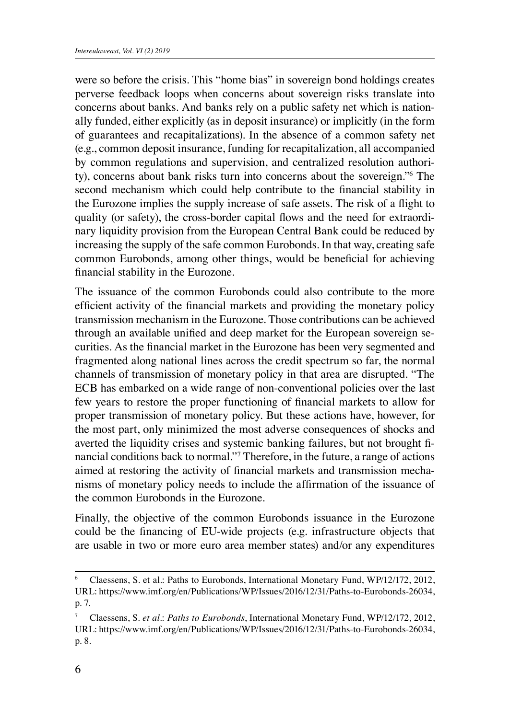were so before the crisis. This "home bias" in sovereign bond holdings creates perverse feedback loops when concerns about sovereign risks translate into concerns about banks. And banks rely on a public safety net which is nationally funded, either explicitly (as in deposit insurance) or implicitly (in the form of guarantees and recapitalizations). In the absence of a common safety net (e.g., common deposit insurance, funding for recapitalization, all accompanied by common regulations and supervision, and centralized resolution authority), concerns about bank risks turn into concerns about the sovereign."<sup>6</sup> The second mechanism which could help contribute to the financial stability in the Eurozone implies the supply increase of safe assets. The risk of a flight to quality (or safety), the cross-border capital flows and the need for extraordinary liquidity provision from the European Central Bank could be reduced by increasing the supply of the safe common Eurobonds. In that way, creating safe common Eurobonds, among other things, would be beneficial for achieving financial stability in the Eurozone.

The issuance of the common Eurobonds could also contribute to the more efficient activity of the financial markets and providing the monetary policy transmission mechanism in the Eurozone. Those contributions can be achieved through an available unified and deep market for the European sovereign securities. As the financial market in the Eurozone has been very segmented and fragmented along national lines across the credit spectrum so far, the normal channels of transmission of monetary policy in that area are disrupted. "The ECB has embarked on a wide range of non-conventional policies over the last few years to restore the proper functioning of financial markets to allow for proper transmission of monetary policy. But these actions have, however, for the most part, only minimized the most adverse consequences of shocks and averted the liquidity crises and systemic banking failures, but not brought financial conditions back to normal."<sup>7</sup> Therefore, in the future, a range of actions aimed at restoring the activity of financial markets and transmission mechanisms of monetary policy needs to include the affirmation of the issuance of the common Eurobonds in the Eurozone.

Finally, the objective of the common Eurobonds issuance in the Eurozone could be the financing of EU-wide projects (e.g. infrastructure objects that are usable in two or more euro area member states) and/or any expenditures

<sup>6</sup> Claessens, S. et al.: Paths to Eurobonds, International Monetary Fund, WP/12/172, 2012, URL: https://www.imf.org/en/Publications/WP/Issues/2016/12/31/Paths-to-Eurobonds-26034, p. 7.

<sup>7</sup> Claessens, S. *et al*.: *Paths to Eurobonds*, International Monetary Fund, WP/12/172, 2012, URL: https://www.imf.org/en/Publications/WP/Issues/2016/12/31/Paths-to-Eurobonds-26034, p. 8.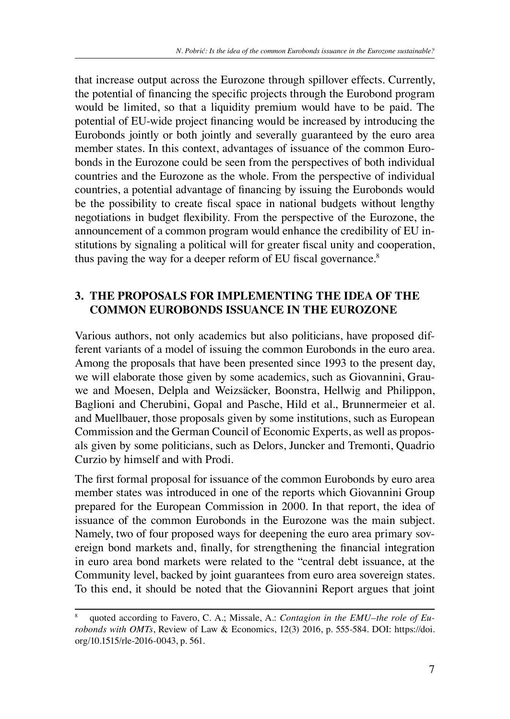that increase output across the Eurozone through spillover effects. Currently, the potential of financing the specific projects through the Eurobond program would be limited, so that a liquidity premium would have to be paid. The potential of EU-wide project financing would be increased by introducing the Eurobonds jointly or both jointly and severally guaranteed by the euro area member states. In this context, advantages of issuance of the common Eurobonds in the Eurozone could be seen from the perspectives of both individual countries and the Eurozone as the whole. From the perspective of individual countries, a potential advantage of financing by issuing the Eurobonds would be the possibility to create fiscal space in national budgets without lengthy negotiations in budget flexibility. From the perspective of the Eurozone, the announcement of a common program would enhance the credibility of EU institutions by signaling a political will for greater fiscal unity and cooperation, thus paving the way for a deeper reform of EU fiscal governance.<sup>8</sup>

# **3. THE PROPOSALS FOR IMPLEMENTING THE IDEA OF THE COMMON EUROBONDS ISSUANCE IN THE EUROZONE**

Various authors, not only academics but also politicians, have proposed different variants of a model of issuing the common Eurobonds in the euro area. Among the proposals that have been presented since 1993 to the present day, we will elaborate those given by some academics, such as Giovannini, Grauwe and Moesen, Delpla and Weizsäcker, Boonstra, Hellwig and Philippon, Baglioni and Cherubini, Gopal and Pasche, Hild et al., Brunnermeier et al. and Muellbauer, those proposals given by some institutions, such as European Commission and the German Council of Economic Experts, as well as proposals given by some politicians, such as Delors, Juncker and Tremonti, Quadrio Curzio by himself and with Prodi.

The first formal proposal for issuance of the common Eurobonds by euro area member states was introduced in one of the reports which Giovannini Group prepared for the European Commission in 2000. In that report, the idea of issuance of the common Eurobonds in the Eurozone was the main subject. Namely, two of four proposed ways for deepening the euro area primary sovereign bond markets and, finally, for strengthening the financial integration in euro area bond markets were related to the "central debt issuance, at the Community level, backed by joint guarantees from euro area sovereign states. To this end, it should be noted that the Giovannini Report argues that joint

<sup>8</sup> quoted according to Favero, C. A.; Missale, A.: *Contagion in the EMU–the role of Eurobonds with OMTs*, Review of Law & Economics, 12(3) 2016, p. 555-584. DOI: https://doi. org/10.1515/rle-2016-0043, p. 561.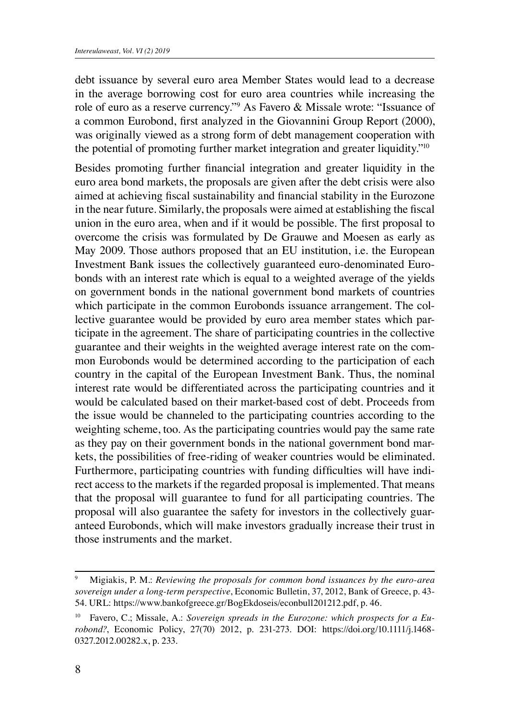debt issuance by several euro area Member States would lead to a decrease in the average borrowing cost for euro area countries while increasing the role of euro as a reserve currency."<sup>9</sup> As Favero & Missale wrote: "Issuance of a common Eurobond, first analyzed in the Giovannini Group Report (2000), was originally viewed as a strong form of debt management cooperation with the potential of promoting further market integration and greater liquidity. $10^{10}$ 

Besides promoting further financial integration and greater liquidity in the euro area bond markets, the proposals are given after the debt crisis were also aimed at achieving fiscal sustainability and financial stability in the Eurozone in the near future. Similarly, the proposals were aimed at establishing the fiscal union in the euro area, when and if it would be possible. The first proposal to overcome the crisis was formulated by De Grauwe and Moesen as early as May 2009. Those authors proposed that an EU institution, i.e. the European Investment Bank issues the collectively guaranteed euro-denominated Eurobonds with an interest rate which is equal to a weighted average of the yields on government bonds in the national government bond markets of countries which participate in the common Eurobonds issuance arrangement. The collective guarantee would be provided by euro area member states which participate in the agreement. The share of participating countries in the collective guarantee and their weights in the weighted average interest rate on the common Eurobonds would be determined according to the participation of each country in the capital of the European Investment Bank. Thus, the nominal interest rate would be differentiated across the participating countries and it would be calculated based on their market-based cost of debt. Proceeds from the issue would be channeled to the participating countries according to the weighting scheme, too. As the participating countries would pay the same rate as they pay on their government bonds in the national government bond markets, the possibilities of free-riding of weaker countries would be eliminated. Furthermore, participating countries with funding difficulties will have indirect access to the markets if the regarded proposal is implemented. That means that the proposal will guarantee to fund for all participating countries. The proposal will also guarantee the safety for investors in the collectively guaranteed Eurobonds, which will make investors gradually increase their trust in those instruments and the market.

<sup>9</sup> Migiakis, P. M.: *Reviewing the proposals for common bond issuances by the euro-area sovereign under a long-term perspective*, Economic Bulletin, 37, 2012, Bank of Greece, p. 43- 54. URL: https://www.bankofgreece.gr/BogEkdoseis/econbull201212.pdf, p. 46.

<sup>&</sup>lt;sup>10</sup> Favero, C.; Missale, A.: Sovereign spreads in the Eurozone: which prospects for a Eu*robond?*, Economic Policy, 27(70) 2012, p. 231-273. DOI: https://doi.org/10.1111/j.1468- 0327.2012.00282.x, p. 233.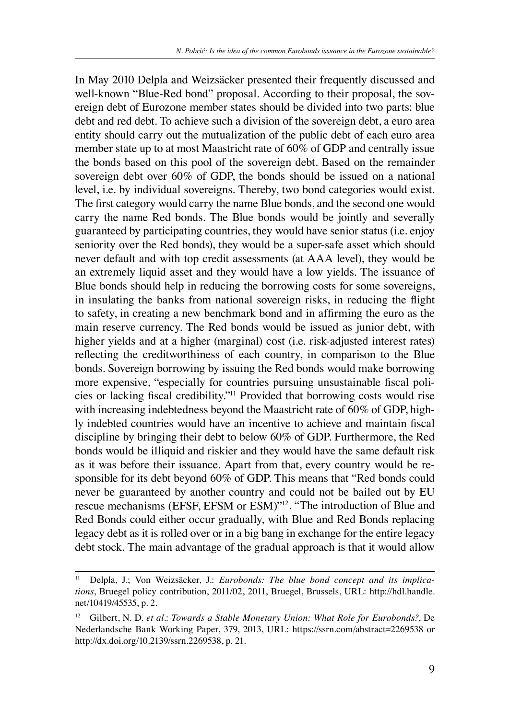In May 2010 Delpla and Weizsäcker presented their frequently discussed and well-known "Blue-Red bond" proposal. According to their proposal, the sovereign debt of Eurozone member states should be divided into two parts: blue debt and red debt. To achieve such a division of the sovereign debt, a euro area entity should carry out the mutualization of the public debt of each euro area member state up to at most Maastricht rate of 60% of GDP and centrally issue the bonds based on this pool of the sovereign debt. Based on the remainder sovereign debt over 60% of GDP, the bonds should be issued on a national level, i.e. by individual sovereigns. Thereby, two bond categories would exist. The first category would carry the name Blue bonds, and the second one would carry the name Red bonds. The Blue bonds would be jointly and severally guaranteed by participating countries, they would have senior status (i.e. enjoy seniority over the Red bonds), they would be a super-safe asset which should never default and with top credit assessments (at AAA level), they would be an extremely liquid asset and they would have a low yields. The issuance of Blue bonds should help in reducing the borrowing costs for some sovereigns, in insulating the banks from national sovereign risks, in reducing the flight to safety, in creating a new benchmark bond and in affirming the euro as the main reserve currency. The Red bonds would be issued as junior debt, with higher yields and at a higher (marginal) cost (i.e. risk-adjusted interest rates) reflecting the creditworthiness of each country, in comparison to the Blue bonds. Sovereign borrowing by issuing the Red bonds would make borrowing more expensive, "especially for countries pursuing unsustainable fiscal policies or lacking fiscal credibility."<sup>11</sup> Provided that borrowing costs would rise with increasing indebtedness beyond the Maastricht rate of 60% of GDP, highly indebted countries would have an incentive to achieve and maintain fiscal discipline by bringing their debt to below 60% of GDP. Furthermore, the Red bonds would be illiquid and riskier and they would have the same default risk as it was before their issuance. Apart from that, every country would be responsible for its debt beyond 60% of GDP. This means that "Red bonds could never be guaranteed by another country and could not be bailed out by EU rescue mechanisms (EFSF, EFSM or ESM)"<sup>12</sup>. "The introduction of Blue and Red Bonds could either occur gradually, with Blue and Red Bonds replacing legacy debt as it is rolled over or in a big bang in exchange for the entire legacy debt stock. The main advantage of the gradual approach is that it would allow

<sup>11</sup> Delpla, J.; Von Weizsäcker, J.: *Eurobonds: The blue bond concept and its implications*, Bruegel policy contribution, 2011/02, 2011, Bruegel, Brussels, URL: http://hdl.handle. net/10419/45535, p. 2.

<sup>12</sup> Gilbert, N. D. *et al*.: *Towards a Stable Monetary Union: What Role for Eurobonds?*, De Nederlandsche Bank Working Paper, 379, 2013, URL: https://ssrn.com/abstract=2269538 or http://dx.doi.org/10.2139/ssrn.2269538, p. 21.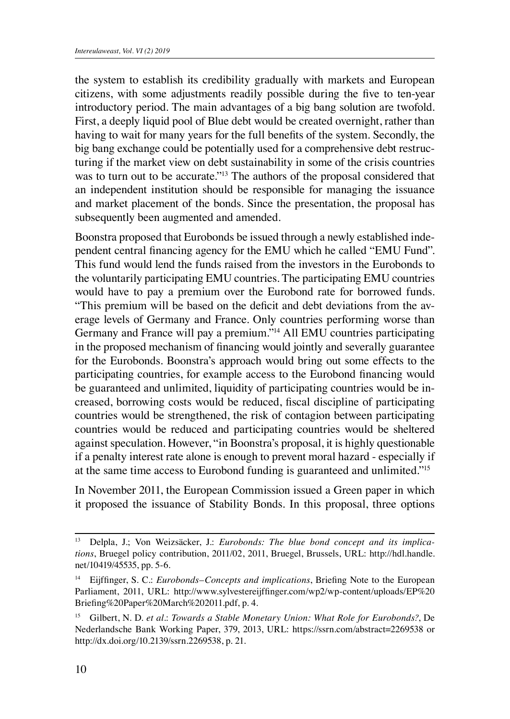the system to establish its credibility gradually with markets and European citizens, with some adjustments readily possible during the five to ten-year introductory period. The main advantages of a big bang solution are twofold. First, a deeply liquid pool of Blue debt would be created overnight, rather than having to wait for many years for the full benefits of the system. Secondly, the big bang exchange could be potentially used for a comprehensive debt restructuring if the market view on debt sustainability in some of the crisis countries was to turn out to be accurate."<sup>13</sup> The authors of the proposal considered that an independent institution should be responsible for managing the issuance and market placement of the bonds. Since the presentation, the proposal has subsequently been augmented and amended.

Boonstra proposed that Eurobonds be issued through a newly established independent central financing agency for the EMU which he called "EMU Fund". This fund would lend the funds raised from the investors in the Eurobonds to the voluntarily participating EMU countries. The participating EMU countries would have to pay a premium over the Eurobond rate for borrowed funds. "This premium will be based on the deficit and debt deviations from the average levels of Germany and France. Only countries performing worse than Germany and France will pay a premium."<sup>14</sup> All EMU countries participating in the proposed mechanism of financing would jointly and severally guarantee for the Eurobonds. Boonstra's approach would bring out some effects to the participating countries, for example access to the Eurobond financing would be guaranteed and unlimited, liquidity of participating countries would be increased, borrowing costs would be reduced, fiscal discipline of participating countries would be strengthened, the risk of contagion between participating countries would be reduced and participating countries would be sheltered against speculation. However, "in Boonstra's proposal, it is highly questionable if a penalty interest rate alone is enough to prevent moral hazard - especially if at the same time access to Eurobond funding is guaranteed and unlimited."<sup>15</sup>

In November 2011, the European Commission issued a Green paper in which it proposed the issuance of Stability Bonds. In this proposal, three options

<sup>&</sup>lt;sup>13</sup> Delpla, J.; Von Weizsäcker, J.: *Eurobonds: The blue bond concept and its implications*, Bruegel policy contribution, 2011/02, 2011, Bruegel, Brussels, URL: http://hdl.handle. net/10419/45535, pp. 5-6.

<sup>14</sup> Eijffinger, S. C.: *Eurobonds–Concepts and implications*, Briefing Note to the European Parliament, 2011, URL: http://www.sylvestereijffinger.com/wp2/wp-content/uploads/EP%20 Briefing%20Paper%20March%202011.pdf, p. 4.

<sup>15</sup> Gilbert, N. D. *et al*.: *Towards a Stable Monetary Union: What Role for Eurobonds?*, De Nederlandsche Bank Working Paper, 379, 2013, URL: https://ssrn.com/abstract=2269538 or http://dx.doi.org/10.2139/ssrn.2269538, p. 21.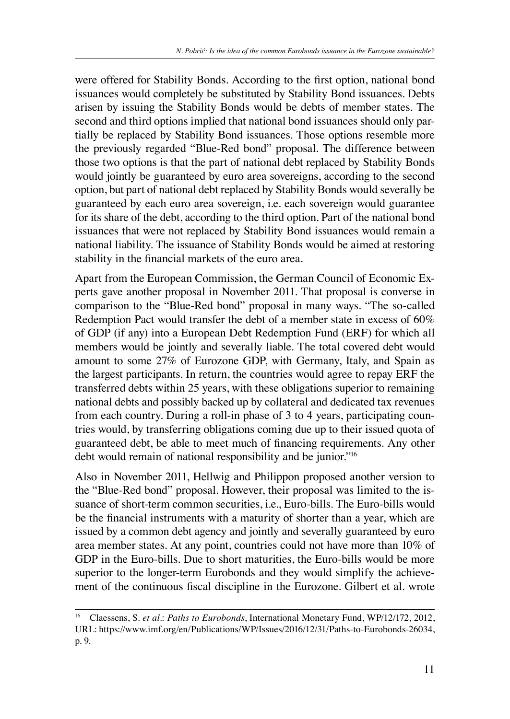were offered for Stability Bonds. According to the first option, national bond issuances would completely be substituted by Stability Bond issuances. Debts arisen by issuing the Stability Bonds would be debts of member states. The second and third options implied that national bond issuances should only partially be replaced by Stability Bond issuances. Those options resemble more the previously regarded "Blue-Red bond" proposal. The difference between those two options is that the part of national debt replaced by Stability Bonds would jointly be guaranteed by euro area sovereigns, according to the second option, but part of national debt replaced by Stability Bonds would severally be guaranteed by each euro area sovereign, i.e. each sovereign would guarantee for its share of the debt, according to the third option. Part of the national bond issuances that were not replaced by Stability Bond issuances would remain a national liability. The issuance of Stability Bonds would be aimed at restoring stability in the financial markets of the euro area.

Apart from the European Commission, the German Council of Economic Experts gave another proposal in November 2011. That proposal is converse in comparison to the "Blue-Red bond" proposal in many ways. "The so-called Redemption Pact would transfer the debt of a member state in excess of 60% of GDP (if any) into a European Debt Redemption Fund (ERF) for which all members would be jointly and severally liable. The total covered debt would amount to some 27% of Eurozone GDP, with Germany, Italy, and Spain as the largest participants. In return, the countries would agree to repay ERF the transferred debts within 25 years, with these obligations superior to remaining national debts and possibly backed up by collateral and dedicated tax revenues from each country. During a roll-in phase of 3 to 4 years, participating countries would, by transferring obligations coming due up to their issued quota of guaranteed debt, be able to meet much of financing requirements. Any other debt would remain of national responsibility and be junior."<sup>16</sup>

Also in November 2011, Hellwig and Philippon proposed another version to the "Blue-Red bond" proposal. However, their proposal was limited to the issuance of short-term common securities, i.e., Euro-bills. The Euro-bills would be the financial instruments with a maturity of shorter than a year, which are issued by a common debt agency and jointly and severally guaranteed by euro area member states. At any point, countries could not have more than 10% of GDP in the Euro-bills. Due to short maturities, the Euro-bills would be more superior to the longer-term Eurobonds and they would simplify the achievement of the continuous fiscal discipline in the Eurozone. Gilbert et al. wrote

<sup>16</sup> Claessens, S. *et al*.: *Paths to Eurobonds*, International Monetary Fund, WP/12/172, 2012, URL: https://www.imf.org/en/Publications/WP/Issues/2016/12/31/Paths-to-Eurobonds-26034, p. 9.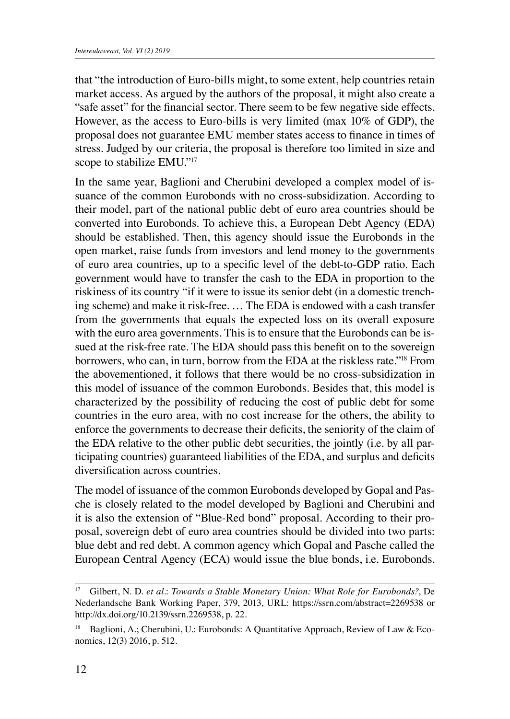that "the introduction of Euro-bills might, to some extent, help countries retain market access. As argued by the authors of the proposal, it might also create a "safe asset" for the financial sector. There seem to be few negative side effects. However, as the access to Euro-bills is very limited (max 10% of GDP), the proposal does not guarantee EMU member states access to finance in times of stress. Judged by our criteria, the proposal is therefore too limited in size and scope to stabilize EMU."<sup>17</sup>

In the same year, Baglioni and Cherubini developed a complex model of issuance of the common Eurobonds with no cross-subsidization. According to their model, part of the national public debt of euro area countries should be converted into Eurobonds. To achieve this, a European Debt Agency (EDA) should be established. Then, this agency should issue the Eurobonds in the open market, raise funds from investors and lend money to the governments of euro area countries, up to a specific level of the debt-to-GDP ratio. Each government would have to transfer the cash to the EDA in proportion to the riskiness of its country "if it were to issue its senior debt (in a domestic trenching scheme) and make it risk-free. … The EDA is endowed with a cash transfer from the governments that equals the expected loss on its overall exposure with the euro area governments. This is to ensure that the Eurobonds can be issued at the risk-free rate. The EDA should pass this benefit on to the sovereign borrowers, who can, in turn, borrow from the EDA at the riskless rate."<sup>18</sup> From the abovementioned, it follows that there would be no cross-subsidization in this model of issuance of the common Eurobonds. Besides that, this model is characterized by the possibility of reducing the cost of public debt for some countries in the euro area, with no cost increase for the others, the ability to enforce the governments to decrease their deficits, the seniority of the claim of the EDA relative to the other public debt securities, the jointly (i.e. by all participating countries) guaranteed liabilities of the EDA, and surplus and deficits diversification across countries.

The model of issuance of the common Eurobonds developed by Gopal and Pasche is closely related to the model developed by Baglioni and Cherubini and it is also the extension of "Blue-Red bond" proposal. According to their proposal, sovereign debt of euro area countries should be divided into two parts: blue debt and red debt. A common agency which Gopal and Pasche called the European Central Agency (ECA) would issue the blue bonds, i.e. Eurobonds.

<sup>17</sup> Gilbert, N. D. *et al*.: *Towards a Stable Monetary Union: What Role for Eurobonds?*, De Nederlandsche Bank Working Paper, 379, 2013, URL: https://ssrn.com/abstract=2269538 or http://dx.doi.org/10.2139/ssrn.2269538, p. 22.

<sup>&</sup>lt;sup>18</sup> Baglioni, A.; Cherubini, U.: Eurobonds: A Quantitative Approach, Review of Law & Economics, 12(3) 2016, p. 512.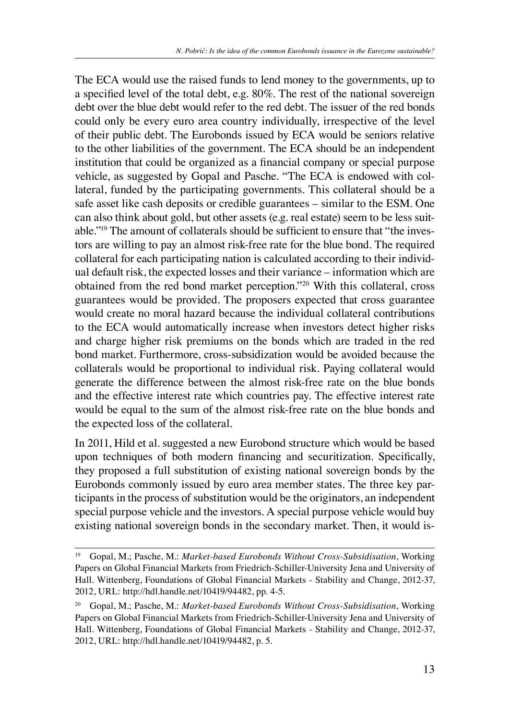The ECA would use the raised funds to lend money to the governments, up to a specified level of the total debt, e.g. 80%. The rest of the national sovereign debt over the blue debt would refer to the red debt. The issuer of the red bonds could only be every euro area country individually, irrespective of the level of their public debt. The Eurobonds issued by ECA would be seniors relative to the other liabilities of the government. The ECA should be an independent institution that could be organized as a financial company or special purpose vehicle, as suggested by Gopal and Pasche. "The ECA is endowed with collateral, funded by the participating governments. This collateral should be a safe asset like cash deposits or credible guarantees – similar to the ESM. One can also think about gold, but other assets (e.g. real estate) seem to be less suitable."19 The amount of collaterals should be sufficient to ensure that "the investors are willing to pay an almost risk-free rate for the blue bond. The required collateral for each participating nation is calculated according to their individual default risk, the expected losses and their variance – information which are obtained from the red bond market perception."<sup>20</sup> With this collateral, cross guarantees would be provided. The proposers expected that cross guarantee would create no moral hazard because the individual collateral contributions to the ECA would automatically increase when investors detect higher risks and charge higher risk premiums on the bonds which are traded in the red bond market. Furthermore, cross-subsidization would be avoided because the collaterals would be proportional to individual risk. Paying collateral would generate the difference between the almost risk-free rate on the blue bonds and the effective interest rate which countries pay. The effective interest rate would be equal to the sum of the almost risk-free rate on the blue bonds and the expected loss of the collateral.

In 2011, Hild et al. suggested a new Eurobond structure which would be based upon techniques of both modern financing and securitization. Specifically, they proposed a full substitution of existing national sovereign bonds by the Eurobonds commonly issued by euro area member states. The three key participants in the process of substitution would be the originators, an independent special purpose vehicle and the investors. A special purpose vehicle would buy existing national sovereign bonds in the secondary market. Then, it would is-

<sup>19</sup> Gopal, M.; Pasche, M.: *Market-based Eurobonds Without Cross-Subsidisation*, Working Papers on Global Financial Markets from Friedrich-Schiller-University Jena and University of Hall. Wittenberg, Foundations of Global Financial Markets - Stability and Change, 2012-37, 2012, URL: http://hdl.handle.net/10419/94482, pp. 4-5.

<sup>20</sup> Gopal, M.; Pasche, M.: *Market-based Eurobonds Without Cross-Subsidisation*, Working Papers on Global Financial Markets from Friedrich-Schiller-University Jena and University of Hall. Wittenberg, Foundations of Global Financial Markets - Stability and Change, 2012-37, 2012, URL: http://hdl.handle.net/10419/94482, p. 5.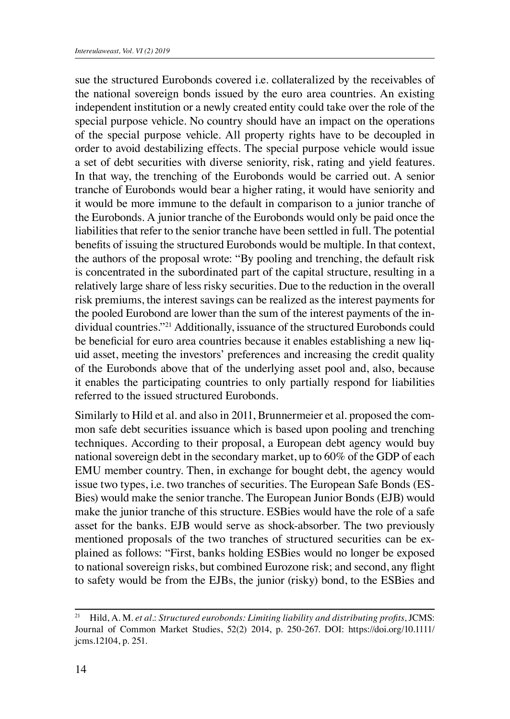sue the structured Eurobonds covered i.e. collateralized by the receivables of the national sovereign bonds issued by the euro area countries. An existing independent institution or a newly created entity could take over the role of the special purpose vehicle. No country should have an impact on the operations of the special purpose vehicle. All property rights have to be decoupled in order to avoid destabilizing effects. The special purpose vehicle would issue a set of debt securities with diverse seniority, risk, rating and yield features. In that way, the trenching of the Eurobonds would be carried out. A senior tranche of Eurobonds would bear a higher rating, it would have seniority and it would be more immune to the default in comparison to a junior tranche of the Eurobonds. A junior tranche of the Eurobonds would only be paid once the liabilities that refer to the senior tranche have been settled in full. The potential benefits of issuing the structured Eurobonds would be multiple. In that context, the authors of the proposal wrote: "By pooling and trenching, the default risk is concentrated in the subordinated part of the capital structure, resulting in a relatively large share of less risky securities. Due to the reduction in the overall risk premiums, the interest savings can be realized as the interest payments for the pooled Eurobond are lower than the sum of the interest payments of the individual countries."<sup>21</sup> Additionally, issuance of the structured Eurobonds could be beneficial for euro area countries because it enables establishing a new liquid asset, meeting the investors' preferences and increasing the credit quality of the Eurobonds above that of the underlying asset pool and, also, because it enables the participating countries to only partially respond for liabilities referred to the issued structured Eurobonds.

Similarly to Hild et al. and also in 2011, Brunnermeier et al. proposed the common safe debt securities issuance which is based upon pooling and trenching techniques. According to their proposal, a European debt agency would buy national sovereign debt in the secondary market, up to 60% of the GDP of each EMU member country. Then, in exchange for bought debt, the agency would issue two types, i.e. two tranches of securities. The European Safe Bonds (ES-Bies) would make the senior tranche. The European Junior Bonds (EJB) would make the junior tranche of this structure. ESBies would have the role of a safe asset for the banks. EJB would serve as shock-absorber. The two previously mentioned proposals of the two tranches of structured securities can be explained as follows: "First, banks holding ESBies would no longer be exposed to national sovereign risks, but combined Eurozone risk; and second, any flight to safety would be from the EJBs, the junior (risky) bond, to the ESBies and

<sup>21</sup> Hild, A. M. *et al*.: *Structured eurobonds: Limiting liability and distributing profits*, JCMS: Journal of Common Market Studies, 52(2) 2014, p. 250-267. DOI: https://doi.org/10.1111/ jcms.12104, p. 251.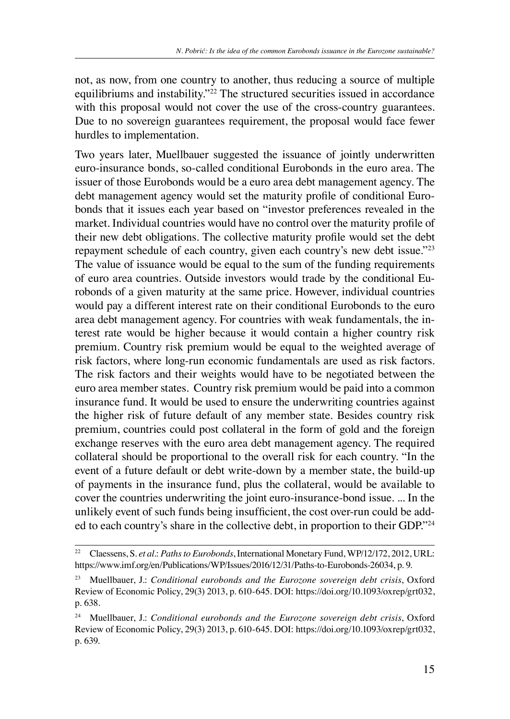not, as now, from one country to another, thus reducing a source of multiple equilibriums and instability."<sup>22</sup> The structured securities issued in accordance with this proposal would not cover the use of the cross-country guarantees. Due to no sovereign guarantees requirement, the proposal would face fewer hurdles to implementation.

Two years later, Muellbauer suggested the issuance of jointly underwritten euro-insurance bonds, so-called conditional Eurobonds in the euro area. The issuer of those Eurobonds would be a euro area debt management agency. The debt management agency would set the maturity profile of conditional Eurobonds that it issues each year based on "investor preferences revealed in the market. Individual countries would have no control over the maturity profile of their new debt obligations. The collective maturity profile would set the debt repayment schedule of each country, given each country's new debt issue."<sup>23</sup> The value of issuance would be equal to the sum of the funding requirements of euro area countries. Outside investors would trade by the conditional Eurobonds of a given maturity at the same price. However, individual countries would pay a different interest rate on their conditional Eurobonds to the euro area debt management agency. For countries with weak fundamentals, the interest rate would be higher because it would contain a higher country risk premium. Country risk premium would be equal to the weighted average of risk factors, where long-run economic fundamentals are used as risk factors. The risk factors and their weights would have to be negotiated between the euro area member states. Country risk premium would be paid into a common insurance fund. It would be used to ensure the underwriting countries against the higher risk of future default of any member state. Besides country risk premium, countries could post collateral in the form of gold and the foreign exchange reserves with the euro area debt management agency. The required collateral should be proportional to the overall risk for each country. "In the event of a future default or debt write-down by a member state, the build-up of payments in the insurance fund, plus the collateral, would be available to cover the countries underwriting the joint euro-insurance-bond issue. ... In the unlikely event of such funds being insufficient, the cost over-run could be added to each country's share in the collective debt, in proportion to their GDP."<sup>24</sup>

<sup>22</sup> Claessens, S. *et al*.: *Paths to Eurobonds*, International Monetary Fund, WP/12/172, 2012, URL: https://www.imf.org/en/Publications/WP/Issues/2016/12/31/Paths-to-Eurobonds-26034, p. 9.

<sup>23</sup> Muellbauer, J.: *Conditional eurobonds and the Eurozone sovereign debt crisis*, Oxford Review of Economic Policy, 29(3) 2013, p. 610-645. DOI: https://doi.org/10.1093/oxrep/grt032, p. 638.

<sup>24</sup> Muellbauer, J.: *Conditional eurobonds and the Eurozone sovereign debt crisis*, Oxford Review of Economic Policy, 29(3) 2013, p. 610-645. DOI: https://doi.org/10.1093/oxrep/grt032, p. 639.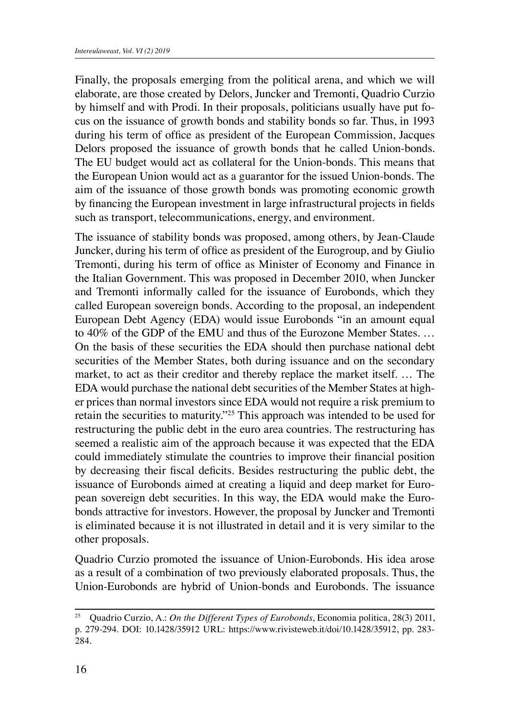Finally, the proposals emerging from the political arena, and which we will elaborate, are those created by Delors, Juncker and Tremonti, Quadrio Curzio by himself and with Prodi. In their proposals, politicians usually have put focus on the issuance of growth bonds and stability bonds so far. Thus, in 1993 during his term of office as president of the European Commission, Jacques Delors proposed the issuance of growth bonds that he called Union-bonds. The EU budget would act as collateral for the Union-bonds. This means that the European Union would act as a guarantor for the issued Union-bonds. The aim of the issuance of those growth bonds was promoting economic growth by financing the European investment in large infrastructural projects in fields such as transport, telecommunications, energy, and environment.

The issuance of stability bonds was proposed, among others, by Jean-Claude Juncker, during his term of office as president of the Eurogroup, and by Giulio Tremonti, during his term of office as Minister of Economy and Finance in the Italian Government. This was proposed in December 2010, when Juncker and Tremonti informally called for the issuance of Eurobonds, which they called European sovereign bonds. According to the proposal, an independent European Debt Agency (EDA) would issue Eurobonds "in an amount equal to 40% of the GDP of the EMU and thus of the Eurozone Member States. … On the basis of these securities the EDA should then purchase national debt securities of the Member States, both during issuance and on the secondary market, to act as their creditor and thereby replace the market itself. … The EDA would purchase the national debt securities of the Member States at higher prices than normal investors since EDA would not require a risk premium to retain the securities to maturity."25 This approach was intended to be used for restructuring the public debt in the euro area countries. The restructuring has seemed a realistic aim of the approach because it was expected that the EDA could immediately stimulate the countries to improve their financial position by decreasing their fiscal deficits. Besides restructuring the public debt, the issuance of Eurobonds aimed at creating a liquid and deep market for European sovereign debt securities. In this way, the EDA would make the Eurobonds attractive for investors. However, the proposal by Juncker and Tremonti is eliminated because it is not illustrated in detail and it is very similar to the other proposals.

Quadrio Curzio promoted the issuance of Union-Eurobonds. His idea arose as a result of a combination of two previously elaborated proposals. Thus, the Union-Eurobonds are hybrid of Union-bonds and Eurobonds. The issuance

<sup>25</sup> Quadrio Curzio, A.: *On the Different Types of Eurobonds*, Economia politica, 28(3) 2011, p. 279-294. DOI: 10.1428/35912 URL: https://www.rivisteweb.it/doi/10.1428/35912, pp. 283- 284.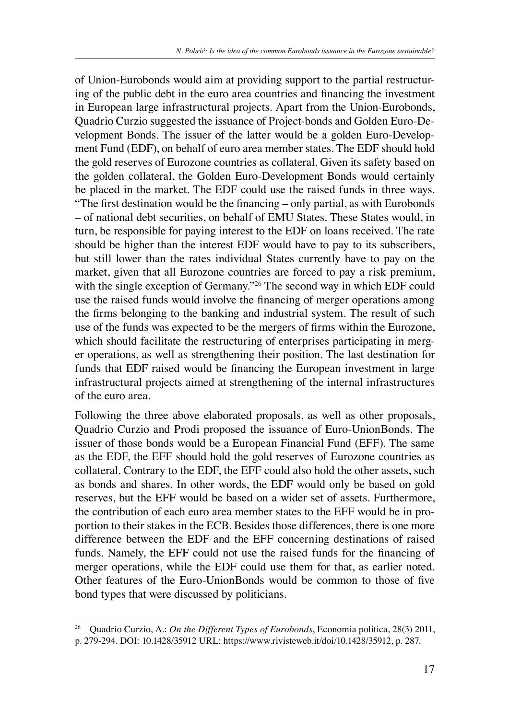of Union-Eurobonds would aim at providing support to the partial restructuring of the public debt in the euro area countries and financing the investment in European large infrastructural projects. Apart from the Union-Eurobonds, Quadrio Curzio suggested the issuance of Project-bonds and Golden Euro-Development Bonds. The issuer of the latter would be a golden Euro-Development Fund (EDF), on behalf of euro area member states. The EDF should hold the gold reserves of Eurozone countries as collateral. Given its safety based on the golden collateral, the Golden Euro-Development Bonds would certainly be placed in the market. The EDF could use the raised funds in three ways. "The first destination would be the financing – only partial, as with Eurobonds – of national debt securities, on behalf of EMU States. These States would, in turn, be responsible for paying interest to the EDF on loans received. The rate should be higher than the interest EDF would have to pay to its subscribers, but still lower than the rates individual States currently have to pay on the market, given that all Eurozone countries are forced to pay a risk premium, with the single exception of Germany."<sup>26</sup> The second way in which EDF could use the raised funds would involve the financing of merger operations among the firms belonging to the banking and industrial system. The result of such use of the funds was expected to be the mergers of firms within the Eurozone, which should facilitate the restructuring of enterprises participating in merger operations, as well as strengthening their position. The last destination for funds that EDF raised would be financing the European investment in large infrastructural projects aimed at strengthening of the internal infrastructures of the euro area.

Following the three above elaborated proposals, as well as other proposals, Quadrio Curzio and Prodi proposed the issuance of Euro-UnionBonds. The issuer of those bonds would be a European Financial Fund (EFF). The same as the EDF, the EFF should hold the gold reserves of Eurozone countries as collateral. Contrary to the EDF, the EFF could also hold the other assets, such as bonds and shares. In other words, the EDF would only be based on gold reserves, but the EFF would be based on a wider set of assets. Furthermore, the contribution of each euro area member states to the EFF would be in proportion to their stakes in the ECB. Besides those differences, there is one more difference between the EDF and the EFF concerning destinations of raised funds. Namely, the EFF could not use the raised funds for the financing of merger operations, while the EDF could use them for that, as earlier noted. Other features of the Euro-UnionBonds would be common to those of five bond types that were discussed by politicians.

<sup>26</sup> Quadrio Curzio, A.: *On the Different Types of Eurobonds*, Economia politica, 28(3) 2011, p. 279-294. DOI: 10.1428/35912 URL: https://www.rivisteweb.it/doi/10.1428/35912, p. 287.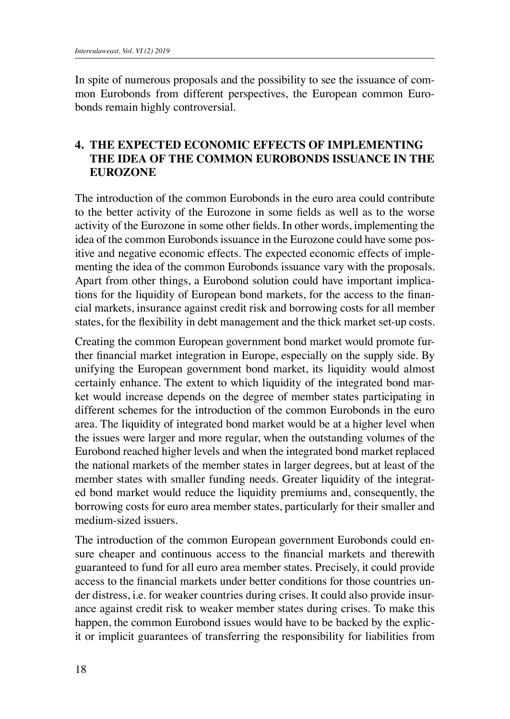In spite of numerous proposals and the possibility to see the issuance of common Eurobonds from different perspectives, the European common Eurobonds remain highly controversial.

# **4. THE EXPECTED ECONOMIC EFFECTS OF IMPLEMENTING THE IDEA OF THE COMMON EUROBONDS ISSUANCE IN THE EUROZONE**

The introduction of the common Eurobonds in the euro area could contribute to the better activity of the Eurozone in some fields as well as to the worse activity of the Eurozone in some other fields. In other words, implementing the idea of the common Eurobonds issuance in the Eurozone could have some positive and negative economic effects. The expected economic effects of implementing the idea of the common Eurobonds issuance vary with the proposals. Apart from other things, a Eurobond solution could have important implications for the liquidity of European bond markets, for the access to the financial markets, insurance against credit risk and borrowing costs for all member states, for the flexibility in debt management and the thick market set-up costs.

Creating the common European government bond market would promote further financial market integration in Europe, especially on the supply side. By unifying the European government bond market, its liquidity would almost certainly enhance. The extent to which liquidity of the integrated bond market would increase depends on the degree of member states participating in different schemes for the introduction of the common Eurobonds in the euro area. The liquidity of integrated bond market would be at a higher level when the issues were larger and more regular, when the outstanding volumes of the Eurobond reached higher levels and when the integrated bond market replaced the national markets of the member states in larger degrees, but at least of the member states with smaller funding needs. Greater liquidity of the integrated bond market would reduce the liquidity premiums and, consequently, the borrowing costs for euro area member states, particularly for their smaller and medium-sized issuers.

The introduction of the common European government Eurobonds could ensure cheaper and continuous access to the financial markets and therewith guaranteed to fund for all euro area member states. Precisely, it could provide access to the financial markets under better conditions for those countries under distress, i.e. for weaker countries during crises. It could also provide insurance against credit risk to weaker member states during crises. To make this happen, the common Eurobond issues would have to be backed by the explicit or implicit guarantees of transferring the responsibility for liabilities from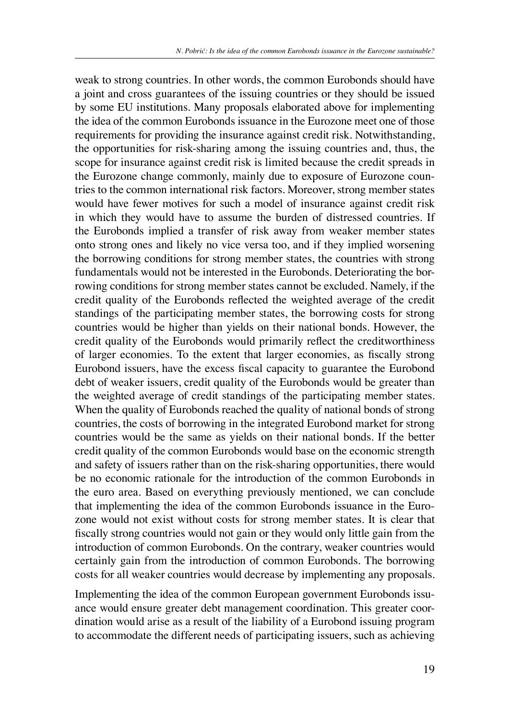weak to strong countries. In other words, the common Eurobonds should have a joint and cross guarantees of the issuing countries or they should be issued by some EU institutions. Many proposals elaborated above for implementing the idea of the common Eurobonds issuance in the Eurozone meet one of those requirements for providing the insurance against credit risk. Notwithstanding, the opportunities for risk-sharing among the issuing countries and, thus, the scope for insurance against credit risk is limited because the credit spreads in the Eurozone change commonly, mainly due to exposure of Eurozone countries to the common international risk factors. Moreover, strong member states would have fewer motives for such a model of insurance against credit risk in which they would have to assume the burden of distressed countries. If the Eurobonds implied a transfer of risk away from weaker member states onto strong ones and likely no vice versa too, and if they implied worsening the borrowing conditions for strong member states, the countries with strong fundamentals would not be interested in the Eurobonds. Deteriorating the borrowing conditions for strong member states cannot be excluded. Namely, if the credit quality of the Eurobonds reflected the weighted average of the credit standings of the participating member states, the borrowing costs for strong countries would be higher than yields on their national bonds. However, the credit quality of the Eurobonds would primarily reflect the creditworthiness of larger economies. To the extent that larger economies, as fiscally strong Eurobond issuers, have the excess fiscal capacity to guarantee the Eurobond debt of weaker issuers, credit quality of the Eurobonds would be greater than the weighted average of credit standings of the participating member states. When the quality of Eurobonds reached the quality of national bonds of strong countries, the costs of borrowing in the integrated Eurobond market for strong countries would be the same as yields on their national bonds. If the better credit quality of the common Eurobonds would base on the economic strength and safety of issuers rather than on the risk-sharing opportunities, there would be no economic rationale for the introduction of the common Eurobonds in the euro area. Based on everything previously mentioned, we can conclude that implementing the idea of the common Eurobonds issuance in the Eurozone would not exist without costs for strong member states. It is clear that fiscally strong countries would not gain or they would only little gain from the introduction of common Eurobonds. On the contrary, weaker countries would certainly gain from the introduction of common Eurobonds. The borrowing costs for all weaker countries would decrease by implementing any proposals.

Implementing the idea of the common European government Eurobonds issuance would ensure greater debt management coordination. This greater coordination would arise as a result of the liability of a Eurobond issuing program to accommodate the different needs of participating issuers, such as achieving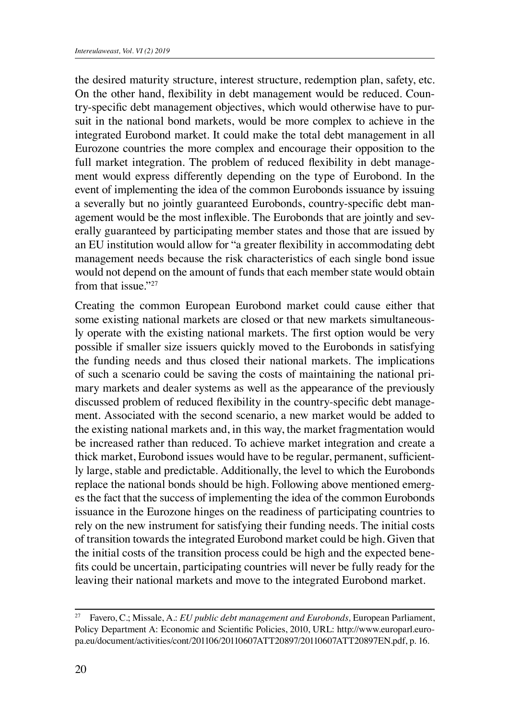the desired maturity structure, interest structure, redemption plan, safety, etc. On the other hand, flexibility in debt management would be reduced. Country-specific debt management objectives, which would otherwise have to pursuit in the national bond markets, would be more complex to achieve in the integrated Eurobond market. It could make the total debt management in all Eurozone countries the more complex and encourage their opposition to the full market integration. The problem of reduced flexibility in debt management would express differently depending on the type of Eurobond. In the event of implementing the idea of the common Eurobonds issuance by issuing a severally but no jointly guaranteed Eurobonds, country-specific debt management would be the most inflexible. The Eurobonds that are jointly and severally guaranteed by participating member states and those that are issued by an EU institution would allow for "a greater flexibility in accommodating debt management needs because the risk characteristics of each single bond issue would not depend on the amount of funds that each member state would obtain from that issue."<sup>27</sup>

Creating the common European Eurobond market could cause either that some existing national markets are closed or that new markets simultaneously operate with the existing national markets. The first option would be very possible if smaller size issuers quickly moved to the Eurobonds in satisfying the funding needs and thus closed their national markets. The implications of such a scenario could be saving the costs of maintaining the national primary markets and dealer systems as well as the appearance of the previously discussed problem of reduced flexibility in the country-specific debt management. Associated with the second scenario, a new market would be added to the existing national markets and, in this way, the market fragmentation would be increased rather than reduced. To achieve market integration and create a thick market, Eurobond issues would have to be regular, permanent, sufficiently large, stable and predictable. Additionally, the level to which the Eurobonds replace the national bonds should be high. Following above mentioned emerges the fact that the success of implementing the idea of the common Eurobonds issuance in the Eurozone hinges on the readiness of participating countries to rely on the new instrument for satisfying their funding needs. The initial costs of transition towards the integrated Eurobond market could be high. Given that the initial costs of the transition process could be high and the expected benefits could be uncertain, participating countries will never be fully ready for the leaving their national markets and move to the integrated Eurobond market.

<sup>27</sup> Favero, C.; Missale, A.: *EU public debt management and Eurobonds,* European Parliament, Policy Department A: Economic and Scientific Policies, 2010, URL: http://www.europarl.europa.eu/document/activities/cont/201106/20110607ATT20897/20110607ATT20897EN.pdf, p. 16.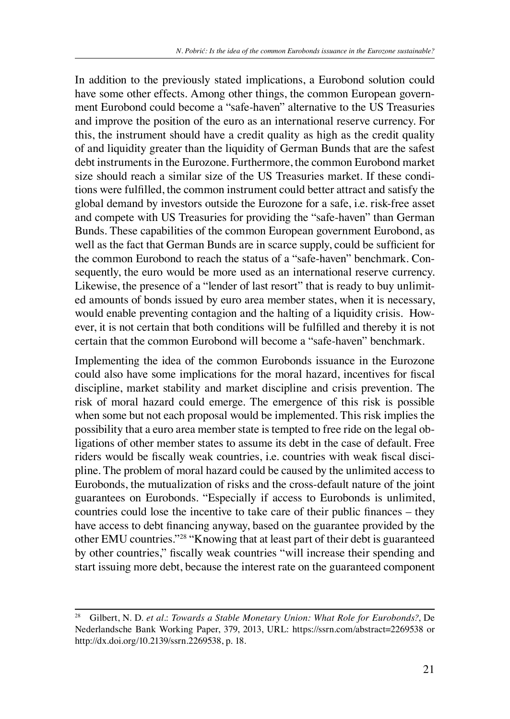In addition to the previously stated implications, a Eurobond solution could have some other effects. Among other things, the common European government Eurobond could become a "safe-haven" alternative to the US Treasuries and improve the position of the euro as an international reserve currency. For this, the instrument should have a credit quality as high as the credit quality of and liquidity greater than the liquidity of German Bunds that are the safest debt instruments in the Eurozone. Furthermore, the common Eurobond market size should reach a similar size of the US Treasuries market. If these conditions were fulfilled, the common instrument could better attract and satisfy the global demand by investors outside the Eurozone for a safe, i.e. risk-free asset and compete with US Treasuries for providing the "safe-haven" than German Bunds. These capabilities of the common European government Eurobond, as well as the fact that German Bunds are in scarce supply, could be sufficient for the common Eurobond to reach the status of a "safe-haven" benchmark. Consequently, the euro would be more used as an international reserve currency. Likewise, the presence of a "lender of last resort" that is ready to buy unlimited amounts of bonds issued by euro area member states, when it is necessary, would enable preventing contagion and the halting of a liquidity crisis. However, it is not certain that both conditions will be fulfilled and thereby it is not certain that the common Eurobond will become a "safe-haven" benchmark.

Implementing the idea of the common Eurobonds issuance in the Eurozone could also have some implications for the moral hazard, incentives for fiscal discipline, market stability and market discipline and crisis prevention. The risk of moral hazard could emerge. The emergence of this risk is possible when some but not each proposal would be implemented. This risk implies the possibility that a euro area member state is tempted to free ride on the legal obligations of other member states to assume its debt in the case of default. Free riders would be fiscally weak countries, i.e. countries with weak fiscal discipline. The problem of moral hazard could be caused by the unlimited access to Eurobonds, the mutualization of risks and the cross-default nature of the joint guarantees on Eurobonds. "Especially if access to Eurobonds is unlimited, countries could lose the incentive to take care of their public finances – they have access to debt financing anyway, based on the guarantee provided by the other EMU countries."<sup>28</sup> "Knowing that at least part of their debt is guaranteed by other countries," fiscally weak countries "will increase their spending and start issuing more debt, because the interest rate on the guaranteed component

<sup>28</sup> Gilbert, N. D. *et al*.: *Towards a Stable Monetary Union: What Role for Eurobonds?*, De Nederlandsche Bank Working Paper, 379, 2013, URL: https://ssrn.com/abstract=2269538 or http://dx.doi.org/10.2139/ssrn.2269538, p. 18.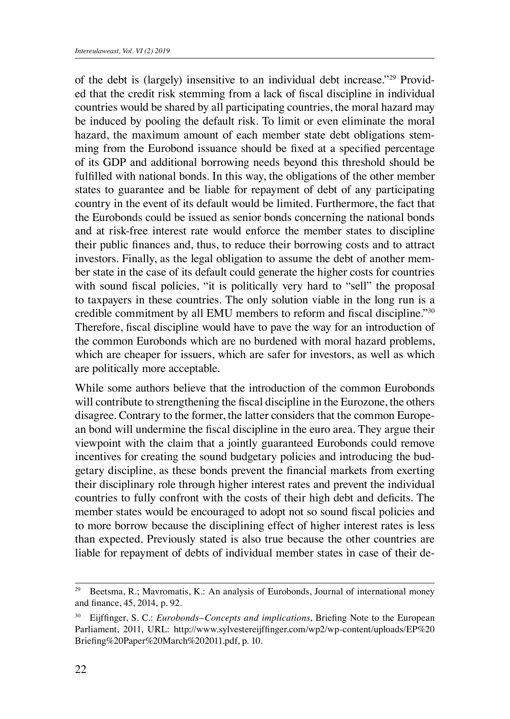of the debt is (largely) insensitive to an individual debt increase."29 Provided that the credit risk stemming from a lack of fiscal discipline in individual countries would be shared by all participating countries, the moral hazard may be induced by pooling the default risk. To limit or even eliminate the moral hazard, the maximum amount of each member state debt obligations stemming from the Eurobond issuance should be fixed at a specified percentage of its GDP and additional borrowing needs beyond this threshold should be fulfilled with national bonds. In this way, the obligations of the other member states to guarantee and be liable for repayment of debt of any participating country in the event of its default would be limited. Furthermore, the fact that the Eurobonds could be issued as senior bonds concerning the national bonds and at risk-free interest rate would enforce the member states to discipline their public finances and, thus, to reduce their borrowing costs and to attract investors. Finally, as the legal obligation to assume the debt of another member state in the case of its default could generate the higher costs for countries with sound fiscal policies, "it is politically very hard to "sell" the proposal to taxpayers in these countries. The only solution viable in the long run is a credible commitment by all EMU members to reform and fiscal discipline."<sup>30</sup> Therefore, fiscal discipline would have to pave the way for an introduction of the common Eurobonds which are no burdened with moral hazard problems, which are cheaper for issuers, which are safer for investors, as well as which are politically more acceptable.

While some authors believe that the introduction of the common Eurobonds will contribute to strengthening the fiscal discipline in the Eurozone, the others disagree. Contrary to the former, the latter considers that the common European bond will undermine the fiscal discipline in the euro area. They argue their viewpoint with the claim that a jointly guaranteed Eurobonds could remove incentives for creating the sound budgetary policies and introducing the budgetary discipline, as these bonds prevent the financial markets from exerting their disciplinary role through higher interest rates and prevent the individual countries to fully confront with the costs of their high debt and deficits. The member states would be encouraged to adopt not so sound fiscal policies and to more borrow because the disciplining effect of higher interest rates is less than expected. Previously stated is also true because the other countries are liable for repayment of debts of individual member states in case of their de-

<sup>&</sup>lt;sup>29</sup> Beetsma, R.; Mavromatis, K.: An analysis of Eurobonds, Journal of international money and finance, 45, 2014, p. 92.

<sup>30</sup> Eijffinger, S. C.: *Eurobonds–Concepts and implications*, Briefing Note to the European Parliament, 2011, URL: http://www.sylvestereijffinger.com/wp2/wp-content/uploads/EP%20 Briefing%20Paper%20March%202011.pdf, p. 10.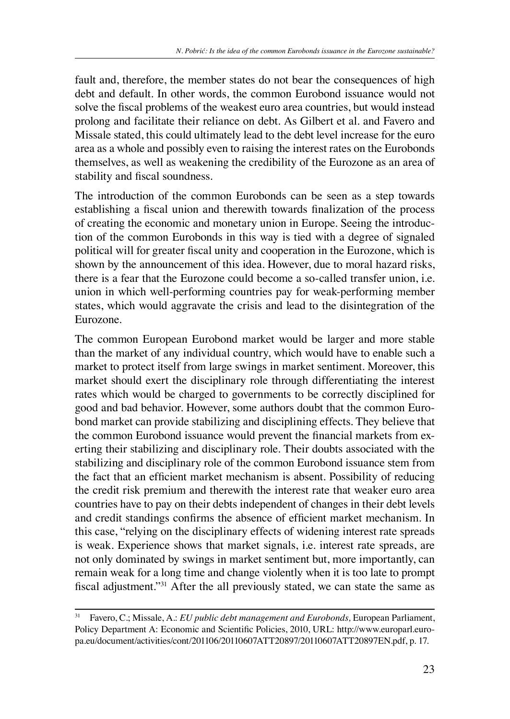fault and, therefore, the member states do not bear the consequences of high debt and default. In other words, the common Eurobond issuance would not solve the fiscal problems of the weakest euro area countries, but would instead prolong and facilitate their reliance on debt. As Gilbert et al. and Favero and Missale stated, this could ultimately lead to the debt level increase for the euro area as a whole and possibly even to raising the interest rates on the Eurobonds themselves, as well as weakening the credibility of the Eurozone as an area of stability and fiscal soundness.

The introduction of the common Eurobonds can be seen as a step towards establishing a fiscal union and therewith towards finalization of the process of creating the economic and monetary union in Europe. Seeing the introduction of the common Eurobonds in this way is tied with a degree of signaled political will for greater fiscal unity and cooperation in the Eurozone, which is shown by the announcement of this idea. However, due to moral hazard risks, there is a fear that the Eurozone could become a so-called transfer union, i.e. union in which well-performing countries pay for weak-performing member states, which would aggravate the crisis and lead to the disintegration of the Eurozone.

The common European Eurobond market would be larger and more stable than the market of any individual country, which would have to enable such a market to protect itself from large swings in market sentiment. Moreover, this market should exert the disciplinary role through differentiating the interest rates which would be charged to governments to be correctly disciplined for good and bad behavior. However, some authors doubt that the common Eurobond market can provide stabilizing and disciplining effects. They believe that the common Eurobond issuance would prevent the financial markets from exerting their stabilizing and disciplinary role. Their doubts associated with the stabilizing and disciplinary role of the common Eurobond issuance stem from the fact that an efficient market mechanism is absent. Possibility of reducing the credit risk premium and therewith the interest rate that weaker euro area countries have to pay on their debts independent of changes in their debt levels and credit standings confirms the absence of efficient market mechanism. In this case, "relying on the disciplinary effects of widening interest rate spreads is weak. Experience shows that market signals, i.e. interest rate spreads, are not only dominated by swings in market sentiment but, more importantly, can remain weak for a long time and change violently when it is too late to prompt fiscal adjustment."<sup>31</sup> After the all previously stated, we can state the same as

<sup>31</sup> Favero, C.; Missale, A.: *EU public debt management and Eurobonds,* European Parliament, Policy Department A: Economic and Scientific Policies, 2010, URL: http://www.europarl.europa.eu/document/activities/cont/201106/20110607ATT20897/20110607ATT20897EN.pdf, p. 17.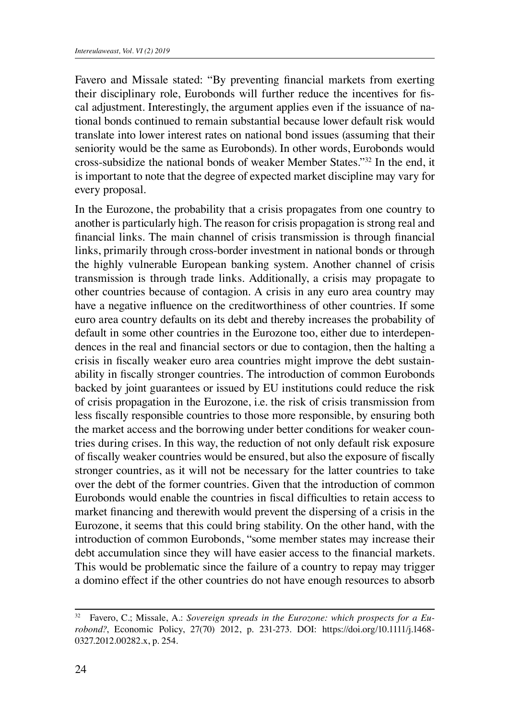Favero and Missale stated: "By preventing financial markets from exerting their disciplinary role, Eurobonds will further reduce the incentives for fiscal adjustment. Interestingly, the argument applies even if the issuance of national bonds continued to remain substantial because lower default risk would translate into lower interest rates on national bond issues (assuming that their seniority would be the same as Eurobonds). In other words, Eurobonds would cross-subsidize the national bonds of weaker Member States."<sup>32</sup> In the end, it is important to note that the degree of expected market discipline may vary for every proposal.

In the Eurozone, the probability that a crisis propagates from one country to another is particularly high. The reason for crisis propagation is strong real and financial links. The main channel of crisis transmission is through financial links, primarily through cross-border investment in national bonds or through the highly vulnerable European banking system. Another channel of crisis transmission is through trade links. Additionally, a crisis may propagate to other countries because of contagion. A crisis in any euro area country may have a negative influence on the creditworthiness of other countries. If some euro area country defaults on its debt and thereby increases the probability of default in some other countries in the Eurozone too, either due to interdependences in the real and financial sectors or due to contagion, then the halting a crisis in fiscally weaker euro area countries might improve the debt sustainability in fiscally stronger countries. The introduction of common Eurobonds backed by joint guarantees or issued by EU institutions could reduce the risk of crisis propagation in the Eurozone, i.e. the risk of crisis transmission from less fiscally responsible countries to those more responsible, by ensuring both the market access and the borrowing under better conditions for weaker countries during crises. In this way, the reduction of not only default risk exposure of fiscally weaker countries would be ensured, but also the exposure of fiscally stronger countries, as it will not be necessary for the latter countries to take over the debt of the former countries. Given that the introduction of common Eurobonds would enable the countries in fiscal difficulties to retain access to market financing and therewith would prevent the dispersing of a crisis in the Eurozone, it seems that this could bring stability. On the other hand, with the introduction of common Eurobonds, "some member states may increase their debt accumulation since they will have easier access to the financial markets. This would be problematic since the failure of a country to repay may trigger a domino effect if the other countries do not have enough resources to absorb

<sup>&</sup>lt;sup>32</sup> Favero, C.; Missale, A.: *Sovereign spreads in the Eurozone: which prospects for a Eurobond?*, Economic Policy, 27(70) 2012, p. 231-273. DOI: https://doi.org/10.1111/j.1468- 0327.2012.00282.x, p. 254.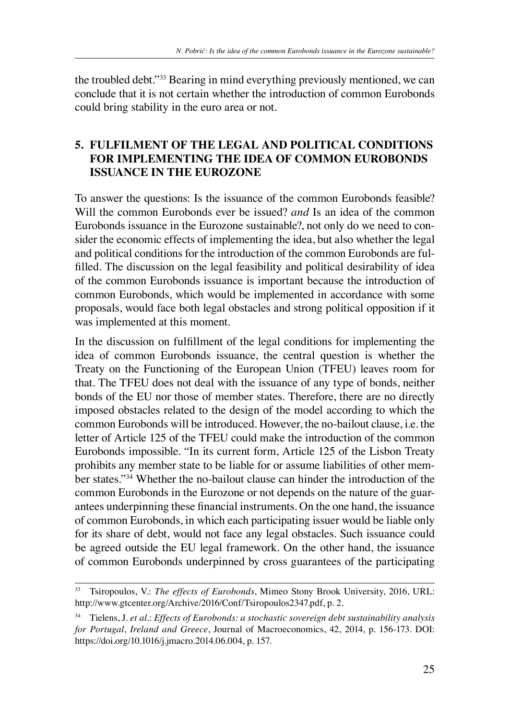the troubled debt."<sup>33</sup> Bearing in mind everything previously mentioned, we can conclude that it is not certain whether the introduction of common Eurobonds could bring stability in the euro area or not.

# **5. FULFILMENT OF THE LEGAL AND POLITICAL CONDITIONS FOR IMPLEMENTING THE IDEA OF COMMON EUROBONDS ISSUANCE IN THE EUROZONE**

To answer the questions: Is the issuance of the common Eurobonds feasible? Will the common Eurobonds ever be issued? *and* Is an idea of the common Eurobonds issuance in the Eurozone sustainable?, not only do we need to consider the economic effects of implementing the idea, but also whether the legal and political conditions for the introduction of the common Eurobonds are fulfilled. The discussion on the legal feasibility and political desirability of idea of the common Eurobonds issuance is important because the introduction of common Eurobonds, which would be implemented in accordance with some proposals, would face both legal obstacles and strong political opposition if it was implemented at this moment.

In the discussion on fulfillment of the legal conditions for implementing the idea of common Eurobonds issuance, the central question is whether the Treaty on the Functioning of the European Union (TFEU) leaves room for that. The TFEU does not deal with the issuance of any type of bonds, neither bonds of the EU nor those of member states. Therefore, there are no directly imposed obstacles related to the design of the model according to which the common Eurobonds will be introduced. However, the no-bailout clause, i.e. the letter of Article 125 of the TFEU could make the introduction of the common Eurobonds impossible. "In its current form, Article 125 of the Lisbon Treaty prohibits any member state to be liable for or assume liabilities of other member states."34 Whether the no-bailout clause can hinder the introduction of the common Eurobonds in the Eurozone or not depends on the nature of the guarantees underpinning these financial instruments. On the one hand, the issuance of common Eurobonds, in which each participating issuer would be liable only for its share of debt, would not face any legal obstacles. Such issuance could be agreed outside the EU legal framework. On the other hand, the issuance of common Eurobonds underpinned by cross guarantees of the participating

<sup>33</sup> Tsiropoulos, V.: *The effects of Eurobonds*, Mimeo Stony Brook University, 2016, URL: http://www.gtcenter.org/Archive/2016/Conf/Tsiropoulos2347.pdf, p. 2.

<sup>34</sup> Tielens, J. *et al*.: *Effects of Eurobonds: a stochastic sovereign debt sustainability analysis for Portugal, Ireland and Greece*, Journal of Macroeconomics, 42, 2014, p. 156-173. DOI: https://doi.org/10.1016/j.jmacro.2014.06.004, p. 157.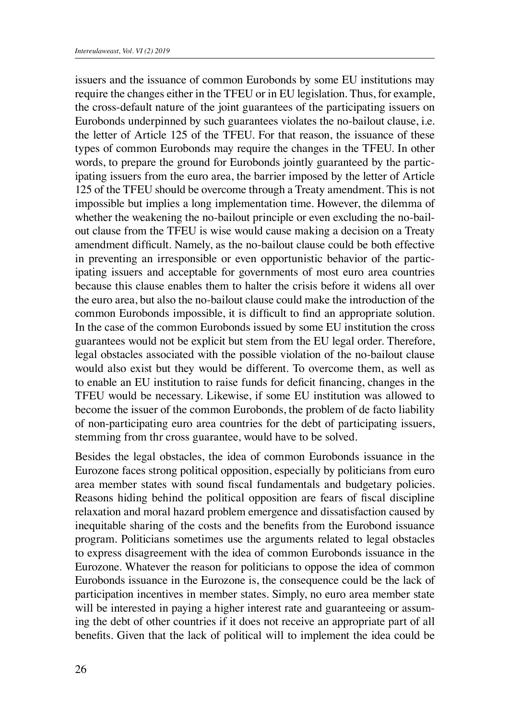issuers and the issuance of common Eurobonds by some EU institutions may require the changes either in the TFEU or in EU legislation. Thus, for example, the cross-default nature of the joint guarantees of the participating issuers on Eurobonds underpinned by such guarantees violates the no-bailout clause, i.e. the letter of Article 125 of the TFEU. For that reason, the issuance of these types of common Eurobonds may require the changes in the TFEU. In other words, to prepare the ground for Eurobonds jointly guaranteed by the participating issuers from the euro area, the barrier imposed by the letter of Article 125 of the TFEU should be overcome through a Treaty amendment. This is not impossible but implies a long implementation time. However, the dilemma of whether the weakening the no-bailout principle or even excluding the no-bailout clause from the TFEU is wise would cause making a decision on a Treaty amendment difficult. Namely, as the no-bailout clause could be both effective in preventing an irresponsible or even opportunistic behavior of the participating issuers and acceptable for governments of most euro area countries because this clause enables them to halter the crisis before it widens all over the euro area, but also the no-bailout clause could make the introduction of the common Eurobonds impossible, it is difficult to find an appropriate solution. In the case of the common Eurobonds issued by some EU institution the cross guarantees would not be explicit but stem from the EU legal order. Therefore, legal obstacles associated with the possible violation of the no-bailout clause would also exist but they would be different. To overcome them, as well as to enable an EU institution to raise funds for deficit financing, changes in the TFEU would be necessary. Likewise, if some EU institution was allowed to become the issuer of the common Eurobonds, the problem of de facto liability of non-participating euro area countries for the debt of participating issuers, stemming from thr cross guarantee, would have to be solved.

Besides the legal obstacles, the idea of common Eurobonds issuance in the Eurozone faces strong political opposition, especially by politicians from euro area member states with sound fiscal fundamentals and budgetary policies. Reasons hiding behind the political opposition are fears of fiscal discipline relaxation and moral hazard problem emergence and dissatisfaction caused by inequitable sharing of the costs and the benefits from the Eurobond issuance program. Politicians sometimes use the arguments related to legal obstacles to express disagreement with the idea of common Eurobonds issuance in the Eurozone. Whatever the reason for politicians to oppose the idea of common Eurobonds issuance in the Eurozone is, the consequence could be the lack of participation incentives in member states. Simply, no euro area member state will be interested in paying a higher interest rate and guaranteeing or assuming the debt of other countries if it does not receive an appropriate part of all benefits. Given that the lack of political will to implement the idea could be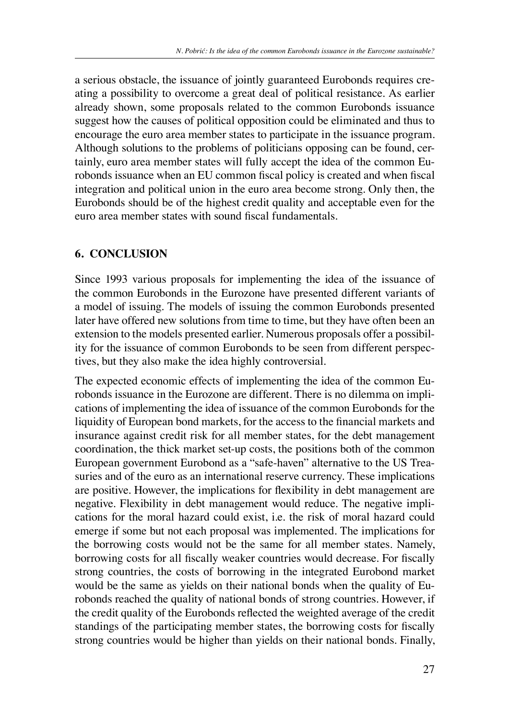a serious obstacle, the issuance of jointly guaranteed Eurobonds requires creating a possibility to overcome a great deal of political resistance. As earlier already shown, some proposals related to the common Eurobonds issuance suggest how the causes of political opposition could be eliminated and thus to encourage the euro area member states to participate in the issuance program. Although solutions to the problems of politicians opposing can be found, certainly, euro area member states will fully accept the idea of the common Eurobonds issuance when an EU common fiscal policy is created and when fiscal integration and political union in the euro area become strong. Only then, the Eurobonds should be of the highest credit quality and acceptable even for the euro area member states with sound fiscal fundamentals.

#### **6. CONCLUSION**

Since 1993 various proposals for implementing the idea of the issuance of the common Eurobonds in the Eurozone have presented different variants of a model of issuing. The models of issuing the common Eurobonds presented later have offered new solutions from time to time, but they have often been an extension to the models presented earlier. Numerous proposals offer a possibility for the issuance of common Eurobonds to be seen from different perspectives, but they also make the idea highly controversial.

The expected economic effects of implementing the idea of the common Eurobonds issuance in the Eurozone are different. There is no dilemma on implications of implementing the idea of issuance of the common Eurobonds for the liquidity of European bond markets, for the access to the financial markets and insurance against credit risk for all member states, for the debt management coordination, the thick market set-up costs, the positions both of the common European government Eurobond as a "safe-haven" alternative to the US Treasuries and of the euro as an international reserve currency. These implications are positive. However, the implications for flexibility in debt management are negative. Flexibility in debt management would reduce. The negative implications for the moral hazard could exist, i.e. the risk of moral hazard could emerge if some but not each proposal was implemented. The implications for the borrowing costs would not be the same for all member states. Namely, borrowing costs for all fiscally weaker countries would decrease. For fiscally strong countries, the costs of borrowing in the integrated Eurobond market would be the same as yields on their national bonds when the quality of Eurobonds reached the quality of national bonds of strong countries. However, if the credit quality of the Eurobonds reflected the weighted average of the credit standings of the participating member states, the borrowing costs for fiscally strong countries would be higher than yields on their national bonds. Finally,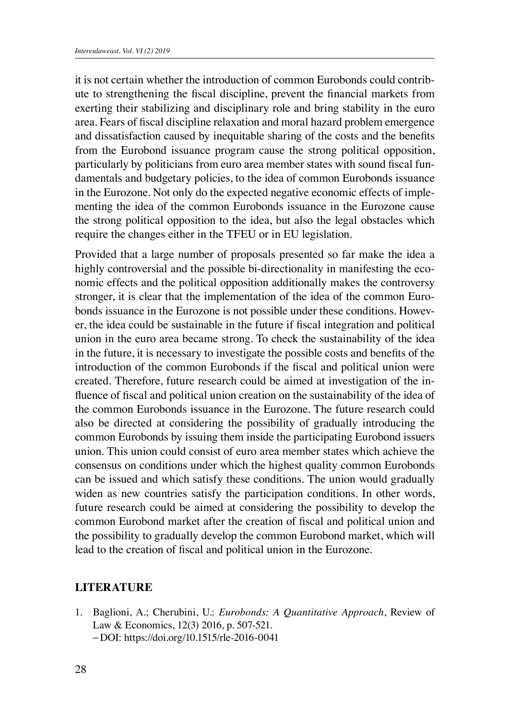it is not certain whether the introduction of common Eurobonds could contribute to strengthening the fiscal discipline, prevent the financial markets from exerting their stabilizing and disciplinary role and bring stability in the euro area. Fears of fiscal discipline relaxation and moral hazard problem emergence and dissatisfaction caused by inequitable sharing of the costs and the benefits from the Eurobond issuance program cause the strong political opposition, particularly by politicians from euro area member states with sound fiscal fundamentals and budgetary policies, to the idea of common Eurobonds issuance in the Eurozone. Not only do the expected negative economic effects of implementing the idea of the common Eurobonds issuance in the Eurozone cause the strong political opposition to the idea, but also the legal obstacles which require the changes either in the TFEU or in EU legislation.

Provided that a large number of proposals presented so far make the idea a highly controversial and the possible bi-directionality in manifesting the economic effects and the political opposition additionally makes the controversy stronger, it is clear that the implementation of the idea of the common Eurobonds issuance in the Eurozone is not possible under these conditions. However, the idea could be sustainable in the future if fiscal integration and political union in the euro area became strong. To check the sustainability of the idea in the future, it is necessary to investigate the possible costs and benefits of the introduction of the common Eurobonds if the fiscal and political union were created. Therefore, future research could be aimed at investigation of the influence of fiscal and political union creation on the sustainability of the idea of the common Eurobonds issuance in the Eurozone. The future research could also be directed at considering the possibility of gradually introducing the common Eurobonds by issuing them inside the participating Eurobond issuers union. This union could consist of euro area member states which achieve the consensus on conditions under which the highest quality common Eurobonds can be issued and which satisfy these conditions. The union would gradually widen as new countries satisfy the participation conditions. In other words, future research could be aimed at considering the possibility to develop the common Eurobond market after the creation of fiscal and political union and the possibility to gradually develop the common Eurobond market, which will lead to the creation of fiscal and political union in the Eurozone.

#### **LITERATURE**

1. Baglioni, A.; Cherubini, U.: *Eurobonds: A Quantitative Approach*, Review of Law & Economics, 12(3) 2016, p. 507-521. −DOI: https://doi.org/10.1515/rle-2016-0041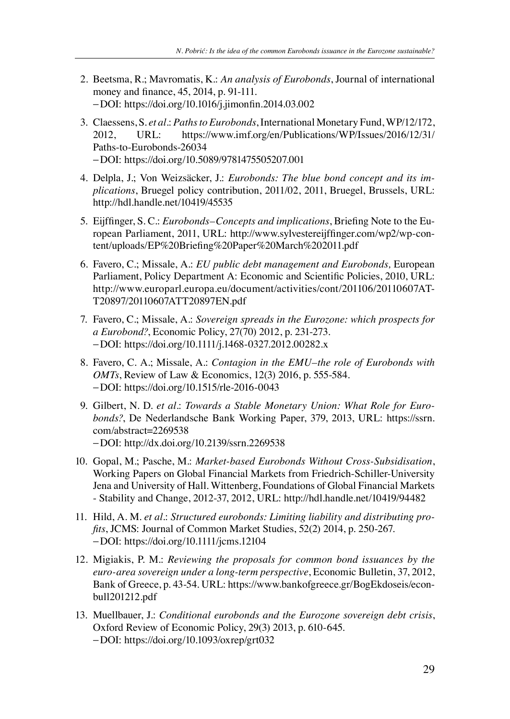- 2. Beetsma, R.; Mavromatis, K.: *An analysis of Eurobonds*, Journal of international money and finance, 45, 2014, p. 91-111. −DOI: https://doi.org/10.1016/j.jimonfin.2014.03.002
- 3. Claessens, S. *et al*.: *Paths to Eurobonds*, International Monetary Fund, WP/12/172, 2012, URL: https://www.imf.org/en/Publications/WP/Issues/2016/12/31/ Paths-to-Eurobonds-26034 −DOI: https://doi.org/10.5089/9781475505207.001
- 4. Delpla, J.; Von Weizsäcker, J.: *Eurobonds: The blue bond concept and its implications*, Bruegel policy contribution, 2011/02, 2011, Bruegel, Brussels, URL: http://hdl.handle.net/10419/45535
- 5. Eijffinger, S. C.: *Eurobonds–Concepts and implications*, Briefing Note to the European Parliament, 2011, URL: http://www.sylvestereijffinger.com/wp2/wp-content/uploads/EP%20Briefing%20Paper%20March%202011.pdf
- 6. Favero, C.; Missale, A.: *EU public debt management and Eurobonds,* European Parliament, Policy Department A: Economic and Scientific Policies, 2010, URL: http://www.europarl.europa.eu/document/activities/cont/201106/20110607AT-T20897/20110607ATT20897EN.pdf
- 7. Favero, C.; Missale, A.: *Sovereign spreads in the Eurozone: which prospects for a Eurobond?*, Economic Policy, 27(70) 2012, p. 231-273. −DOI: https://doi.org/10.1111/j.1468-0327.2012.00282.x
- 8. Favero, C. A.; Missale, A.: *Contagion in the EMU–the role of Eurobonds with OMTs*, Review of Law & Economics, 12(3) 2016, p. 555-584. −DOI: https://doi.org/10.1515/rle-2016-0043
- 9. Gilbert, N. D. *et al*.: *Towards a Stable Monetary Union: What Role for Eurobonds?*, De Nederlandsche Bank Working Paper, 379, 2013, URL: https://ssrn. com/abstract=2269538 −DOI: http://dx.doi.org/10.2139/ssrn.2269538
- 10. Gopal, M.; Pasche, M.: *Market-based Eurobonds Without Cross-Subsidisation*, Working Papers on Global Financial Markets from Friedrich-Schiller-University Jena and University of Hall. Wittenberg, Foundations of Global Financial Markets - Stability and Change, 2012-37, 2012, URL: http://hdl.handle.net/10419/94482
- 11. Hild, A. M. *et al*.: *Structured eurobonds: Limiting liability and distributing profits*, JCMS: Journal of Common Market Studies, 52(2) 2014, p. 250-267. −DOI: https://doi.org/10.1111/jcms.12104
- 12. Migiakis, P. M.: *Reviewing the proposals for common bond issuances by the euro-area sovereign under a long-term perspective*, Economic Bulletin, 37, 2012, Bank of Greece, p. 43-54. URL: https://www.bankofgreece.gr/BogEkdoseis/econbull201212.pdf
- 13. Muellbauer, J.: *Conditional eurobonds and the Eurozone sovereign debt crisis*, Oxford Review of Economic Policy, 29(3) 2013, p. 610-645. −DOI: https://doi.org/10.1093/oxrep/grt032